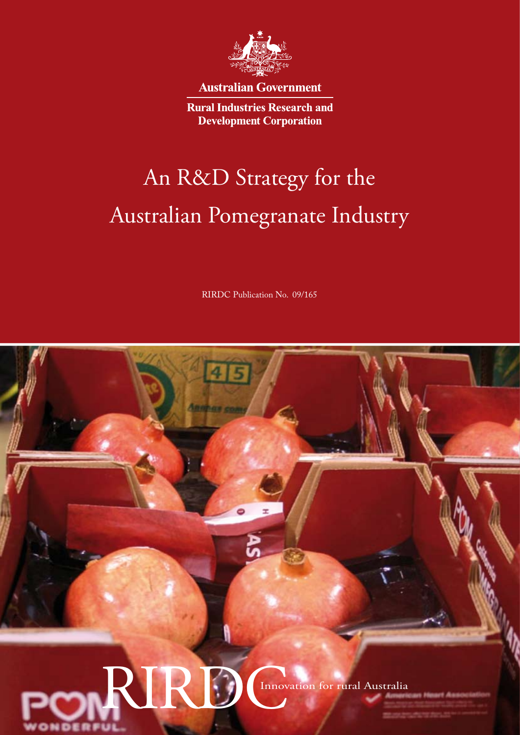

**Australian Government** 

**Rural Industries Research and Development Corporation** 

# An R&D Strategy for the Australian Pomegranate Industry

RIRDC Publication No. 09/165

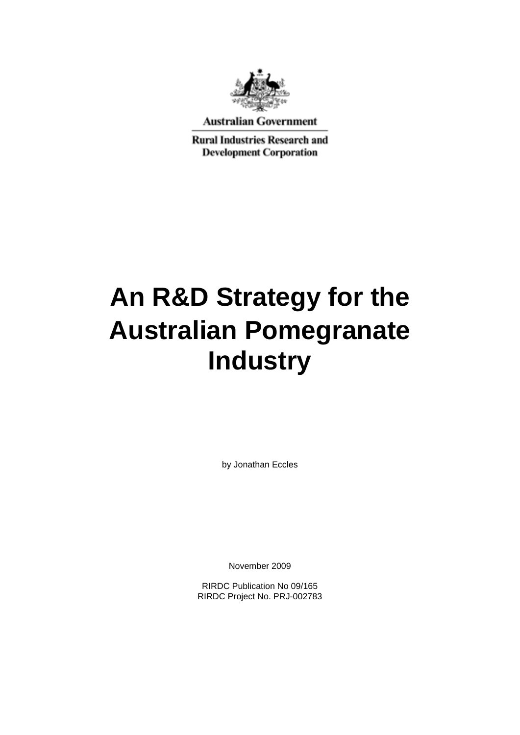

**Australian Government** 

**Rural Industries Research and Development Corporation** 

# **An R&D Strategy for the Australian Pomegranate Industry**

by Jonathan Eccles

November 2009

RIRDC Publication No 09/165 RIRDC Project No. PRJ-002783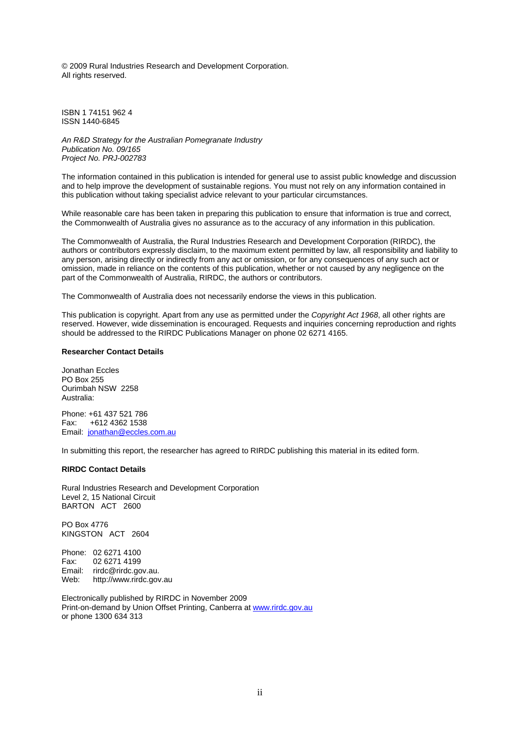© 2009 Rural Industries Research and Development Corporation. All rights reserved.

ISBN 1 74151 962 4 ISSN 1440-6845

*An R&D Strategy for the Australian Pomegranate Industry Publication No. 09/165 Project No. PRJ-002783* 

The information contained in this publication is intended for general use to assist public knowledge and discussion and to help improve the development of sustainable regions. You must not rely on any information contained in this publication without taking specialist advice relevant to your particular circumstances.

While reasonable care has been taken in preparing this publication to ensure that information is true and correct, the Commonwealth of Australia gives no assurance as to the accuracy of any information in this publication.

The Commonwealth of Australia, the Rural Industries Research and Development Corporation (RIRDC), the authors or contributors expressly disclaim, to the maximum extent permitted by law, all responsibility and liability to any person, arising directly or indirectly from any act or omission, or for any consequences of any such act or omission, made in reliance on the contents of this publication, whether or not caused by any negligence on the part of the Commonwealth of Australia, RIRDC, the authors or contributors.

The Commonwealth of Australia does not necessarily endorse the views in this publication.

This publication is copyright. Apart from any use as permitted under the *Copyright Act 1968*, all other rights are reserved. However, wide dissemination is encouraged. Requests and inquiries concerning reproduction and rights should be addressed to the RIRDC Publications Manager on phone 02 6271 4165.

#### **Researcher Contact Details**

Jonathan Eccles PO Box 255 Ourimbah NSW 2258 Australia:

Phone: +61 437 521 786 Fax: +612 4362 1538 Email: [jonathan@eccles.com.au](mailto:jonathan@eccles.com.au)

In submitting this report, the researcher has agreed to RIRDC publishing this material in its edited form.

#### **RIRDC Contact Details**

Rural Industries Research and Development Corporation Level 2, 15 National Circuit BARTON ACT 2600

PO Box 4776 KINGSTON ACT 2604

Phone: 02 6271 4100 Fax: 02 6271 4199 Email: rirdc@rirdc.gov.au.<br>Web: http://www.rirdc.gov http://www.rirdc.gov.au

Electronically published by RIRDC in November 2009 Print-on-demand by Union Offset Printing, Canberra at [www.rirdc.gov.au](http://www.rirdc.gov.au/) or phone 1300 634 313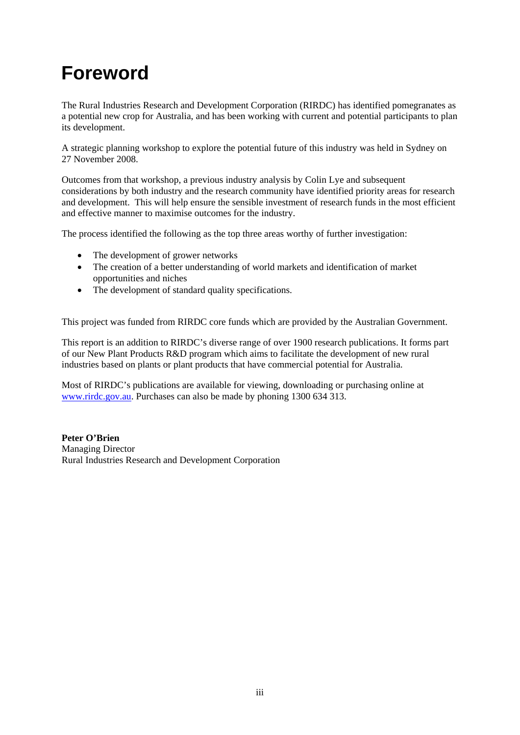## <span id="page-4-0"></span>**Foreword**

The Rural Industries Research and Development Corporation (RIRDC) has identified pomegranates as a potential new crop for Australia, and has been working with current and potential participants to plan its development.

A strategic planning workshop to explore the potential future of this industry was held in Sydney on 27 November 2008.

Outcomes from that workshop, a previous industry analysis by Colin Lye and subsequent considerations by both industry and the research community have identified priority areas for research and development. This will help ensure the sensible investment of research funds in the most efficient and effective manner to maximise outcomes for the industry.

The process identified the following as the top three areas worthy of further investigation:

- The development of grower networks
- The creation of a better understanding of world markets and identification of market opportunities and niches
- The development of standard quality specifications.

This project was funded from RIRDC core funds which are provided by the Australian Government.

This report is an addition to RIRDC's diverse range of over 1900 research publications. It forms part of our New Plant Products R&D program which aims to facilitate the development of new rural industries based on plants or plant products that have commercial potential for Australia.

Most of RIRDC's publications are available for viewing, downloading or purchasing online at [www.rirdc.gov.au](http://www.rirdc.gov.au/). Purchases can also be made by phoning 1300 634 313.

**Peter O'Brien**  Managing Director Rural Industries Research and Development Corporation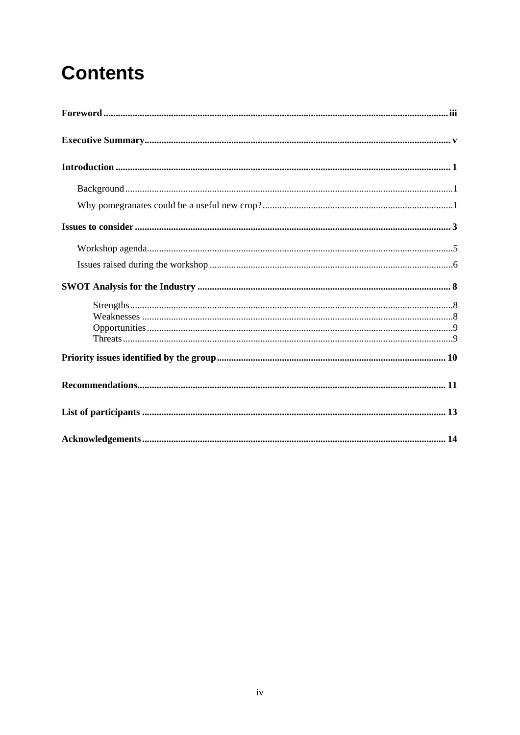# **Contents**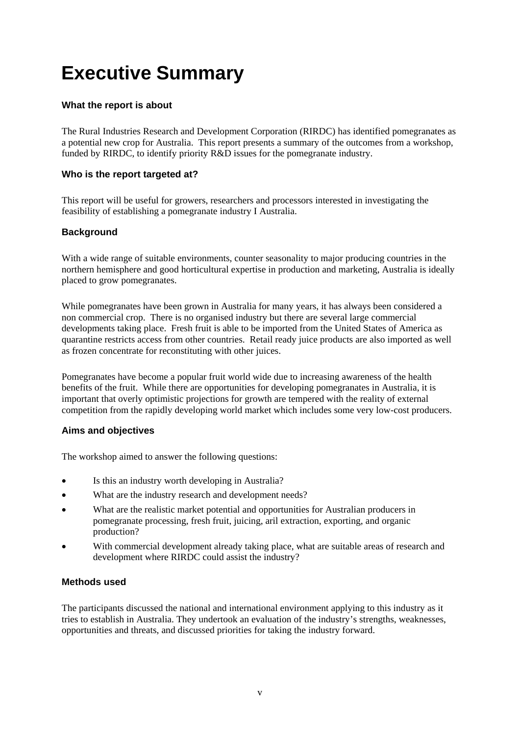### <span id="page-6-0"></span>**Executive Summary**

#### **What the report is about**

The Rural Industries Research and Development Corporation (RIRDC) has identified pomegranates as a potential new crop for Australia. This report presents a summary of the outcomes from a workshop, funded by RIRDC, to identify priority R&D issues for the pomegranate industry.

#### **Who is the report targeted at?**

This report will be useful for growers, researchers and processors interested in investigating the feasibility of establishing a pomegranate industry I Australia.

#### **Background**

With a wide range of suitable environments, counter seasonality to major producing countries in the northern hemisphere and good horticultural expertise in production and marketing, Australia is ideally placed to grow pomegranates.

While pomegranates have been grown in Australia for many years, it has always been considered a non commercial crop. There is no organised industry but there are several large commercial developments taking place. Fresh fruit is able to be imported from the United States of America as quarantine restricts access from other countries. Retail ready juice products are also imported as well as frozen concentrate for reconstituting with other juices.

Pomegranates have become a popular fruit world wide due to increasing awareness of the health benefits of the fruit. While there are opportunities for developing pomegranates in Australia, it is important that overly optimistic projections for growth are tempered with the reality of external competition from the rapidly developing world market which includes some very low-cost producers.

#### **Aims and objectives**

The workshop aimed to answer the following questions:

- Is this an industry worth developing in Australia?
- What are the industry research and development needs?
- What are the realistic market potential and opportunities for Australian producers in pomegranate processing, fresh fruit, juicing, aril extraction, exporting, and organic production?
- With commercial development already taking place, what are suitable areas of research and development where RIRDC could assist the industry?

#### **Methods used**

The participants discussed the national and international environment applying to this industry as it tries to establish in Australia. They undertook an evaluation of the industry's strengths, weaknesses, opportunities and threats, and discussed priorities for taking the industry forward.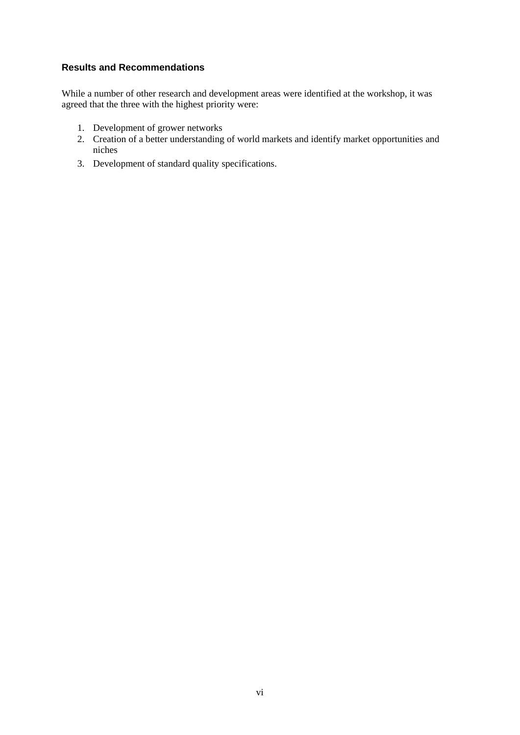#### **Results and Recommendations**

While a number of other research and development areas were identified at the workshop, it was agreed that the three with the highest priority were:

- 1. Development of grower networks
- 2. Creation of a better understanding of world markets and identify market opportunities and niches
- 3. Development of standard quality specifications.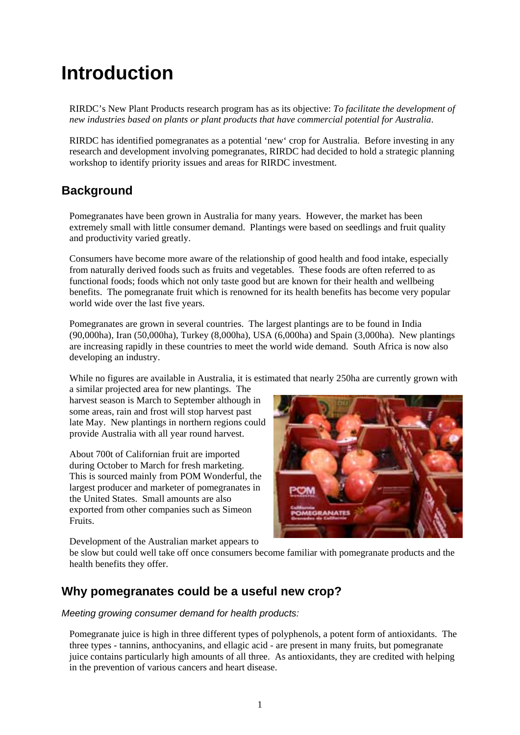### <span id="page-8-0"></span>**Introduction**

RIRDC's New Plant Products research program has as its objective: *To facilitate the development of new industries based on plants or plant products that have commercial potential for Australia*.

RIRDC has identified pomegranates as a potential 'new' crop for Australia. Before investing in any research and development involving pomegranates, RIRDC had decided to hold a strategic planning workshop to identify priority issues and areas for RIRDC investment.

#### **Background**

Pomegranates have been grown in Australia for many years. However, the market has been extremely small with little consumer demand. Plantings were based on seedlings and fruit quality and productivity varied greatly.

Consumers have become more aware of the relationship of good health and food intake, especially from naturally derived foods such as fruits and vegetables. These foods are often referred to as functional foods; foods which not only taste good but are known for their health and wellbeing benefits. The pomegranate fruit which is renowned for its health benefits has become very popular world wide over the last five years.

Pomegranates are grown in several countries. The largest plantings are to be found in India (90,000ha), Iran (50,000ha), Turkey (8,000ha), USA (6,000ha) and Spain (3,000ha). New plantings are increasing rapidly in these countries to meet the world wide demand. South Africa is now also developing an industry.

While no figures are available in Australia, it is estimated that nearly 250ha are currently grown with

a similar projected area for new plantings. The harvest season is March to September although in some areas, rain and frost will stop harvest past late May. New plantings in northern regions could provide Australia with all year round harvest.

About 700t of Californian fruit are imported during October to March for fresh marketing. This is sourced mainly from POM Wonderful, the largest producer and marketer of pomegranates in the United States. Small amounts are also exported from other companies such as Simeon Fruits.

**LANATES** 

Development of the Australian market appears to

be slow but could well take off once consumers become familiar with pomegranate products and the health benefits they offer.

#### **Why pomegranates could be a useful new crop?**

*Meeting growing consumer demand for health products:* 

Pomegranate juice is high in three different types of polyphenols, a potent form of antioxidants. The three types - tannins, anthocyanins, and ellagic acid - are present in many fruits, but pomegranate juice contains particularly high amounts of all three. As antioxidants, they are credited with helping in the prevention of various cancers and heart disease.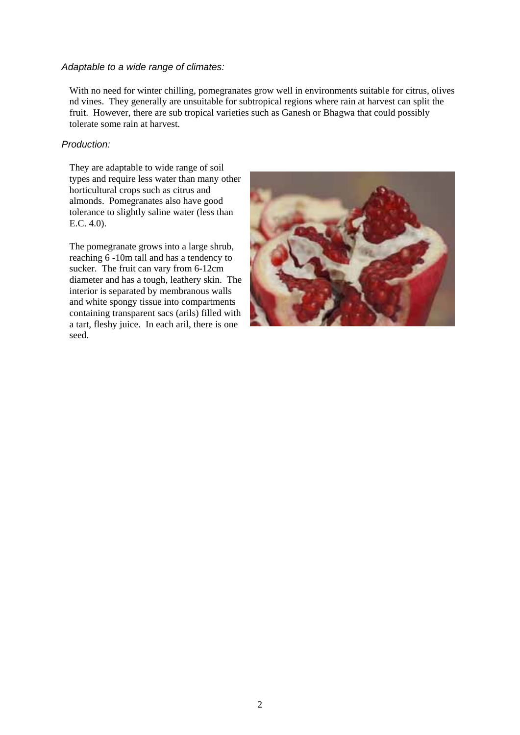#### *Adaptable to a wide range of climates:*

With no need for winter chilling, pomegranates grow well in environments suitable for citrus, olives nd vines. They generally are unsuitable for subtropical regions where rain at harvest can split the fruit. However, there are sub tropical varieties such as Ganesh or Bhagwa that could possibly tolerate some rain at harvest.

#### *Production:*

They are adaptable to wide range of soil types and require less water than many other horticultural crops such as citrus and almonds. Pomegranates also have good tolerance to slightly saline water (less than E.C. 4.0).

The pomegranate grows into a large shrub, reaching 6 -10m tall and has a tendency to sucker. The fruit can vary from 6-12cm diameter and has a tough, leathery skin. The interior is separated by membranous walls and white spongy tissue into compartments containing transparent sacs (arils) filled with a tart, fleshy juice. In each aril, there is one seed.

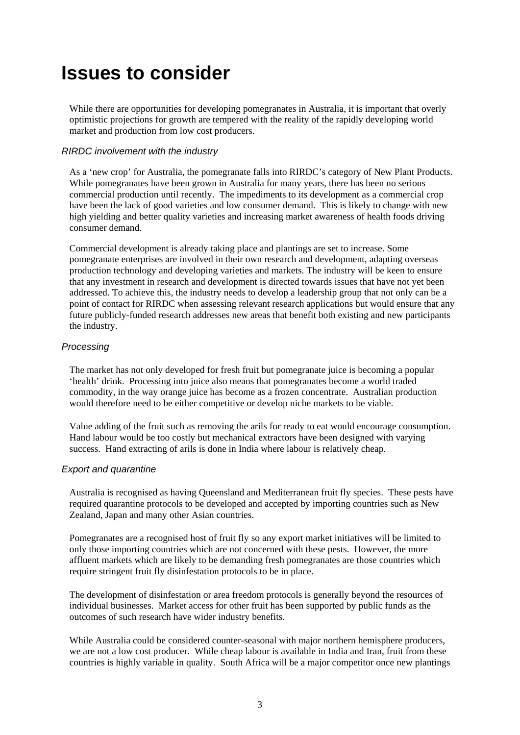### <span id="page-10-0"></span>**Issues to consider**

While there are opportunities for developing pomegranates in Australia, it is important that overly optimistic projections for growth are tempered with the reality of the rapidly developing world market and production from low cost producers.

#### *RIRDC involvement with the industry*

As a 'new crop' for Australia, the pomegranate falls into RIRDC's category of New Plant Products. While pomegranates have been grown in Australia for many years, there has been no serious commercial production until recently. The impediments to its development as a commercial crop have been the lack of good varieties and low consumer demand. This is likely to change with new high yielding and better quality varieties and increasing market awareness of health foods driving consumer demand.

Commercial development is already taking place and plantings are set to increase. Some pomegranate enterprises are involved in their own research and development, adapting overseas production technology and developing varieties and markets. The industry will be keen to ensure that any investment in research and development is directed towards issues that have not yet been addressed. To achieve this, the industry needs to develop a leadership group that not only can be a point of contact for RIRDC when assessing relevant research applications but would ensure that any future publicly-funded research addresses new areas that benefit both existing and new participants the industry.

#### *Processing*

The market has not only developed for fresh fruit but pomegranate juice is becoming a popular 'health' drink. Processing into juice also means that pomegranates become a world traded commodity, in the way orange juice has become as a frozen concentrate. Australian production would therefore need to be either competitive or develop niche markets to be viable.

Value adding of the fruit such as removing the arils for ready to eat would encourage consumption. Hand labour would be too costly but mechanical extractors have been designed with varying success. Hand extracting of arils is done in India where labour is relatively cheap.

#### *Export and quarantine*

Australia is recognised as having Queensland and Mediterranean fruit fly species. These pests have required quarantine protocols to be developed and accepted by importing countries such as New Zealand, Japan and many other Asian countries.

Pomegranates are a recognised host of fruit fly so any export market initiatives will be limited to only those importing countries which are not concerned with these pests. However, the more affluent markets which are likely to be demanding fresh pomegranates are those countries which require stringent fruit fly disinfestation protocols to be in place.

The development of disinfestation or area freedom protocols is generally beyond the resources of individual businesses. Market access for other fruit has been supported by public funds as the outcomes of such research have wider industry benefits.

While Australia could be considered counter-seasonal with major northern hemisphere producers, we are not a low cost producer. While cheap labour is available in India and Iran, fruit from these countries is highly variable in quality. South Africa will be a major competitor once new plantings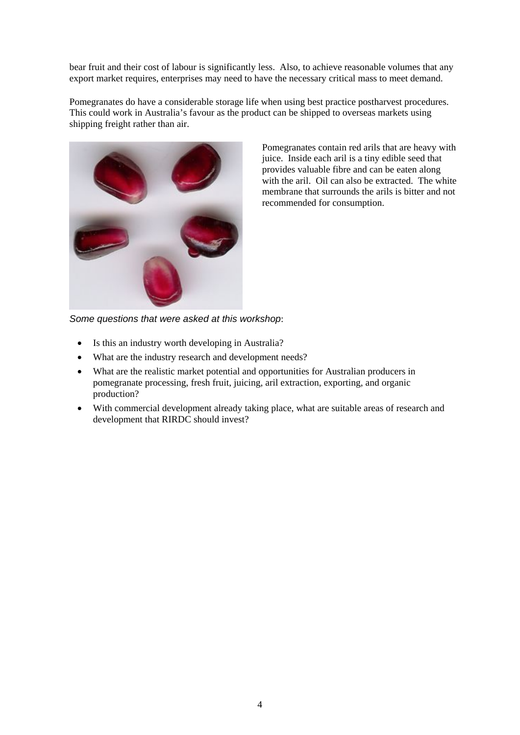bear fruit and their cost of labour is significantly less. Also, to achieve reasonable volumes that any export market requires, enterprises may need to have the necessary critical mass to meet demand.

Pomegranates do have a considerable storage life when using best practice postharvest procedures. This could work in Australia's favour as the product can be shipped to overseas markets using shipping freight rather than air.



Pomegranates contain red arils that are heavy with juice. Inside each aril is a tiny edible seed that provides valuable fibre and can be eaten along with the aril. Oil can also be extracted. The w hite membrane that surrounds the arils is bitter and not recommended for consumption.

*Some questions that were asked at this workshop*:

- Is this an industry worth developing in Australia?
- What are the industry research and development needs?
- What are the realistic market potential and opportunities for Australian producers in pomegranate processing, fresh fruit, juicing, aril extraction, exporting, and organic production?
- With commercial development already taking place, what are suitable areas of research and development that RIRDC should invest?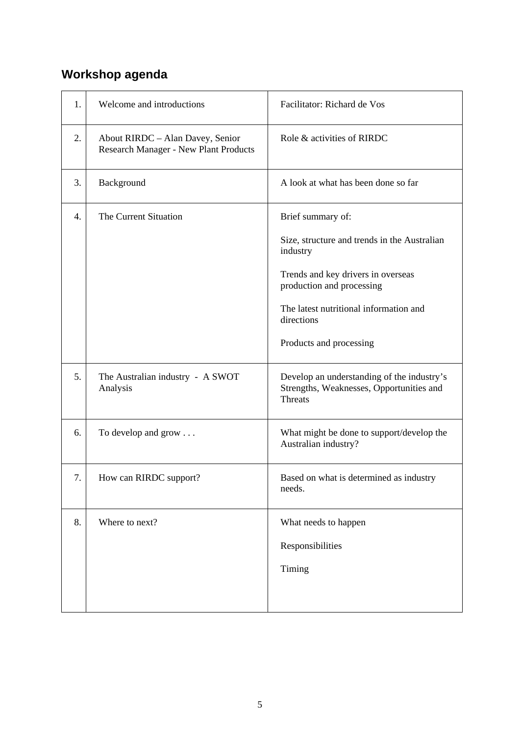### <span id="page-12-0"></span>**Workshop agenda**

| 1. | Welcome and introductions                                                 | Facilitator: Richard de Vos                                                                              |
|----|---------------------------------------------------------------------------|----------------------------------------------------------------------------------------------------------|
| 2. | About RIRDC - Alan Davey, Senior<br>Research Manager - New Plant Products | Role & activities of RIRDC                                                                               |
| 3. | Background                                                                | A look at what has been done so far                                                                      |
| 4. | The Current Situation                                                     | Brief summary of:                                                                                        |
|    |                                                                           | Size, structure and trends in the Australian<br>industry                                                 |
|    |                                                                           | Trends and key drivers in overseas<br>production and processing                                          |
|    |                                                                           | The latest nutritional information and<br>directions                                                     |
|    |                                                                           | Products and processing                                                                                  |
| 5. | The Australian industry - A SWOT<br>Analysis                              | Develop an understanding of the industry's<br>Strengths, Weaknesses, Opportunities and<br><b>Threats</b> |
| 6. | To develop and grow                                                       | What might be done to support/develop the<br>Australian industry?                                        |
| 7. | How can RIRDC support?                                                    | Based on what is determined as industry<br>needs.                                                        |
| 8. | Where to next?                                                            | What needs to happen                                                                                     |
|    |                                                                           | Responsibilities                                                                                         |
|    |                                                                           | Timing                                                                                                   |
|    |                                                                           |                                                                                                          |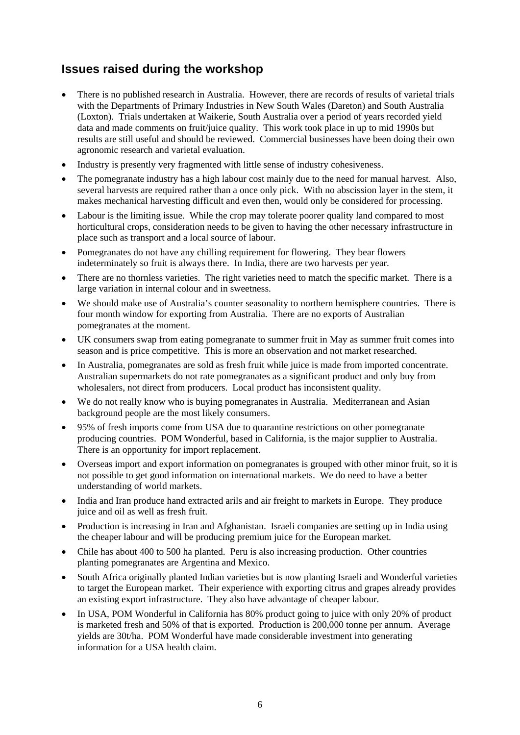### <span id="page-13-0"></span>**Issues raised during the workshop**

- There is no published research in Australia. However, there are records of results of varietal trials with the Departments of Primary Industries in New South Wales (Dareton) and South Australia (Loxton). Trials undertaken at Waikerie, South Australia over a period of years recorded yield data and made comments on fruit/juice quality. This work took place in up to mid 1990s but results are still useful and should be reviewed. Commercial businesses have been doing their own agronomic research and varietal evaluation.
- Industry is presently very fragmented with little sense of industry cohesiveness.
- The pomegranate industry has a high labour cost mainly due to the need for manual harvest. Also, several harvests are required rather than a once only pick. With no abscission layer in the stem, it makes mechanical harvesting difficult and even then, would only be considered for processing.
- Labour is the limiting issue. While the crop may tolerate poorer quality land compared to most horticultural crops, consideration needs to be given to having the other necessary infrastructure in place such as transport and a local source of labour.
- Pomegranates do not have any chilling requirement for flowering. They bear flowers indeterminately so fruit is always there. In India, there are two harvests per year.
- There are no thornless varieties. The right varieties need to match the specific market. There is a large variation in internal colour and in sweetness.
- We should make use of Australia's counter seasonality to northern hemisphere countries. There is four month window for exporting from Australia. There are no exports of Australian pomegranates at the moment.
- UK consumers swap from eating pomegranate to summer fruit in May as summer fruit comes into season and is price competitive. This is more an observation and not market researched.
- In Australia, pomegranates are sold as fresh fruit while juice is made from imported concentrate. Australian supermarkets do not rate pomegranates as a significant product and only buy from wholesalers, not direct from producers. Local product has inconsistent quality.
- We do not really know who is buying pomegranates in Australia. Mediterranean and Asian background people are the most likely consumers.
- 95% of fresh imports come from USA due to quarantine restrictions on other pomegranate producing countries. POM Wonderful, based in California, is the major supplier to Australia. There is an opportunity for import replacement.
- Overseas import and export information on pomegranates is grouped with other minor fruit, so it is not possible to get good information on international markets. We do need to have a better understanding of world markets.
- India and Iran produce hand extracted arils and air freight to markets in Europe. They produce juice and oil as well as fresh fruit.
- Production is increasing in Iran and Afghanistan. Israeli companies are setting up in India using the cheaper labour and will be producing premium juice for the European market.
- Chile has about 400 to 500 ha planted. Peru is also increasing production. Other countries planting pomegranates are Argentina and Mexico.
- South Africa originally planted Indian varieties but is now planting Israeli and Wonderful varieties to target the European market. Their experience with exporting citrus and grapes already provides an existing export infrastructure. They also have advantage of cheaper labour.
- In USA, POM Wonderful in California has 80% product going to juice with only 20% of product is marketed fresh and 50% of that is exported. Production is 200,000 tonne per annum. Average yields are 30t/ha. POM Wonderful have made considerable investment into generating information for a USA health claim.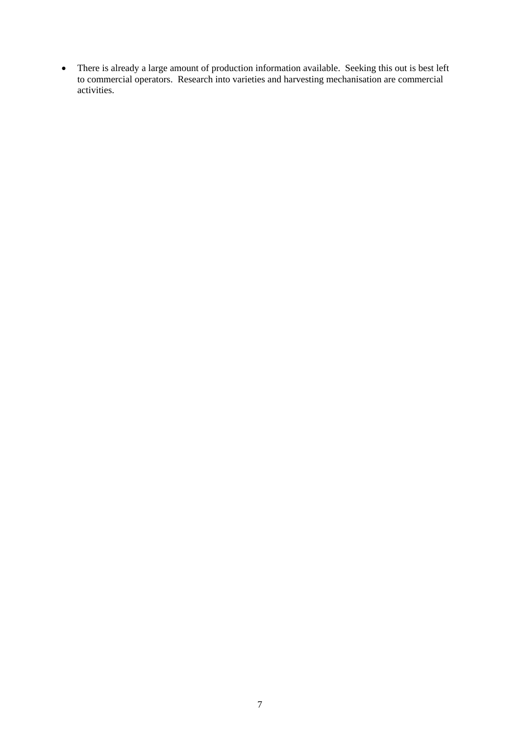• There is already a large amount of production information available. Seeking this out is best left to commercial operators. Research into varieties and harvesting mechanisation are commercial activities.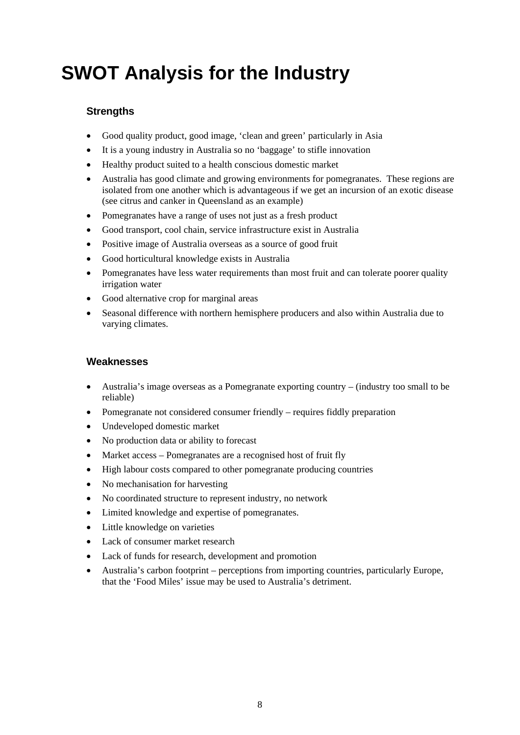## <span id="page-15-0"></span>**SWOT Analysis for the Industry**

#### **Strengths**

- Good quality product, good image, 'clean and green' particularly in Asia
- It is a young industry in Australia so no 'baggage' to stifle innovation
- Healthy product suited to a health conscious domestic market
- Australia has good climate and growing environments for pomegranates. These regions are isolated from one another which is advantageous if we get an incursion of an exotic disease (see citrus and canker in Queensland as an example)
- Pomegranates have a range of uses not just as a fresh product
- Good transport, cool chain, service infrastructure exist in Australia
- Positive image of Australia overseas as a source of good fruit
- Good horticultural knowledge exists in Australia
- Pomegranates have less water requirements than most fruit and can tolerate poorer quality irrigation water
- Good alternative crop for marginal areas
- Seasonal difference with northern hemisphere producers and also within Australia due to varying climates.

#### **Weaknesses**

- Australia's image overseas as a Pomegranate exporting country (industry too small to be reliable)
- Pomegranate not considered consumer friendly requires fiddly preparation
- Undeveloped domestic market
- No production data or ability to forecast
- Market access Pomegranates are a recognised host of fruit fly
- High labour costs compared to other pomegranate producing countries
- No mechanisation for harvesting
- No coordinated structure to represent industry, no network
- Limited knowledge and expertise of pomegranates.
- Little knowledge on varieties
- Lack of consumer market research
- Lack of funds for research, development and promotion
- Australia's carbon footprint perceptions from importing countries, particularly Europe, that the 'Food Miles' issue may be used to Australia's detriment.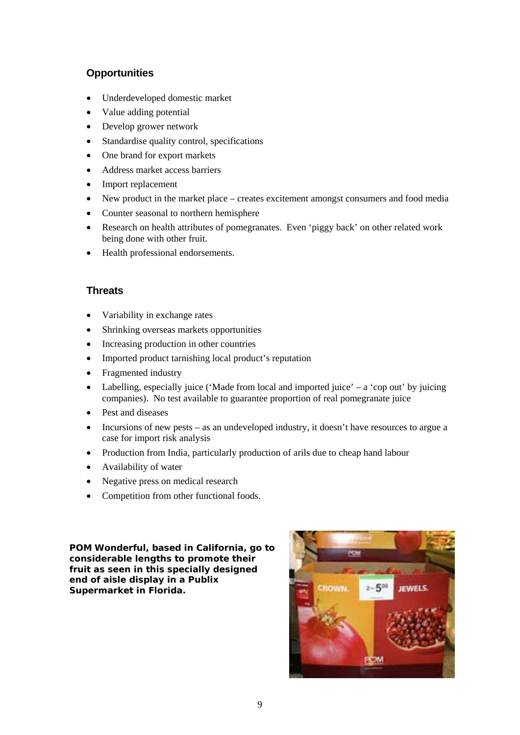#### <span id="page-16-0"></span>**Opportunities**

- Underdeveloped domestic market
- Value adding potential
- Develop grower network
- Standardise quality control, specifications
- One brand for export markets
- Address market access barriers
- Import replacement
- New product in the market place creates excitement amongst consumers and food media
- Counter seasonal to northern hemisphere
- Research on health attributes of pomegranates. Even 'piggy back' on other related work being done with other fruit.
- Health professional endorsements.

#### **Threats**

- Variability in exchange rates
- Shrinking overseas markets opportunities
- Increasing production in other countries
- Imported product tarnishing local product's reputation
- Fragmented industry
- Labelling, especially juice ('Made from local and imported juice' a 'cop out' by juicing companies). No test available to guarantee proportion of real pomegranate juice
- Pest and diseases
- Incursions of new pests as an undeveloped industry, it doesn't have resources to argue a case for import risk analysis
- Production from India, particularly production of arils due to cheap hand labour
- Availability of water
- Negative press on medical research
- Competition from other functional foods.

**POM Wonderful, based in California, go to considerable lengths to promote their fruit as seen in this specially designed end of aisle display in a Publix Supermarket in Florida.** 

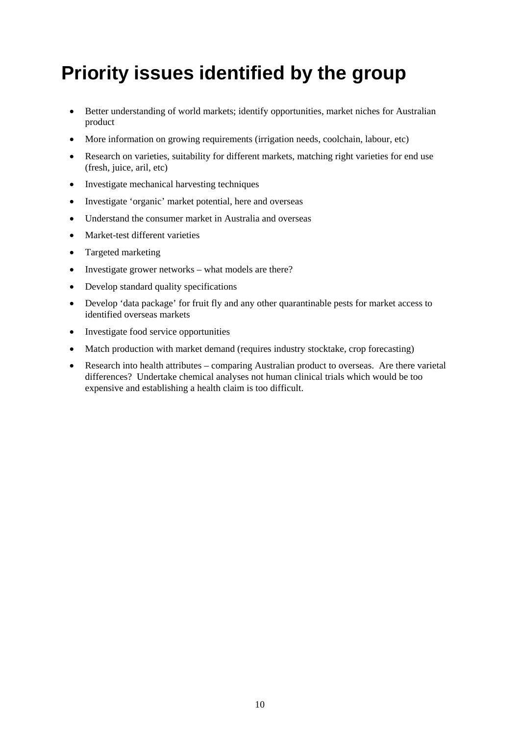### <span id="page-17-0"></span>**Priority issues identified by the group**

- Better understanding of world markets; identify opportunities, market niches for Australian product
- More information on growing requirements (irrigation needs, coolchain, labour, etc)
- Research on varieties, suitability for different markets, matching right varieties for end use (fresh, juice, aril, etc)
- Investigate mechanical harvesting techniques
- Investigate 'organic' market potential, here and overseas
- Understand the consumer market in Australia and overseas
- Market-test different varieties
- Targeted marketing
- Investigate grower networks what models are there?
- Develop standard quality specifications
- Develop 'data package' for fruit fly and any other quarantinable pests for market access to identified overseas markets
- Investigate food service opportunities
- Match production with market demand (requires industry stocktake, crop forecasting)
- Research into health attributes comparing Australian product to overseas. Are there varietal differences? Undertake chemical analyses not human clinical trials which would be too expensive and establishing a health claim is too difficult.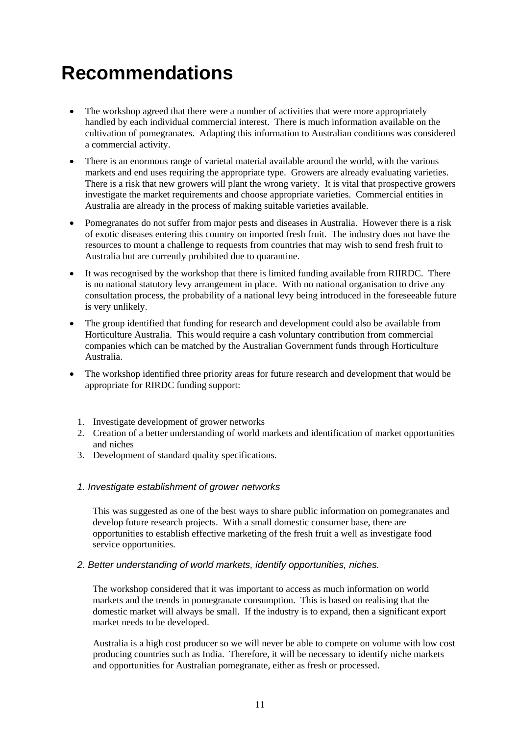### <span id="page-18-0"></span>**Recommendations**

- The workshop agreed that there were a number of activities that were more appropriately handled by each individual commercial interest. There is much information available on the cultivation of pomegranates. Adapting this information to Australian conditions was considered a commercial activity.
- There is an enormous range of varietal material available around the world, with the various markets and end uses requiring the appropriate type. Growers are already evaluating varieties. There is a risk that new growers will plant the wrong variety. It is vital that prospective growers investigate the market requirements and choose appropriate varieties. Commercial entities in Australia are already in the process of making suitable varieties available.
- Pomegranates do not suffer from major pests and diseases in Australia. However there is a risk of exotic diseases entering this country on imported fresh fruit. The industry does not have the resources to mount a challenge to requests from countries that may wish to send fresh fruit to Australia but are currently prohibited due to quarantine.
- It was recognised by the workshop that there is limited funding available from RIIRDC. There is no national statutory levy arrangement in place. With no national organisation to drive any consultation process, the probability of a national levy being introduced in the foreseeable future is very unlikely.
- The group identified that funding for research and development could also be available from Horticulture Australia. This would require a cash voluntary contribution from commercial companies which can be matched by the Australian Government funds through Horticulture Australia.
- The workshop identified three priority areas for future research and development that would be appropriate for RIRDC funding support:
	- 1. Investigate development of grower networks
	- 2. Creation of a better understanding of world markets and identification of market opportunities and niches
	- 3. Development of standard quality specifications.

#### *1. Investigate establishment of grower networks*

This was suggested as one of the best ways to share public information on pomegranates and develop future research projects. With a small domestic consumer base, there are opportunities to establish effective marketing of the fresh fruit a well as investigate food service opportunities.

#### *2. Better understanding of world markets, identify opportunities, niches.*

The workshop considered that it was important to access as much information on world markets and the trends in pomegranate consumption. This is based on realising that the domestic market will always be small. If the industry is to expand, then a significant export market needs to be developed.

Australia is a high cost producer so we will never be able to compete on volume with low cost producing countries such as India. Therefore, it will be necessary to identify niche markets and opportunities for Australian pomegranate, either as fresh or processed.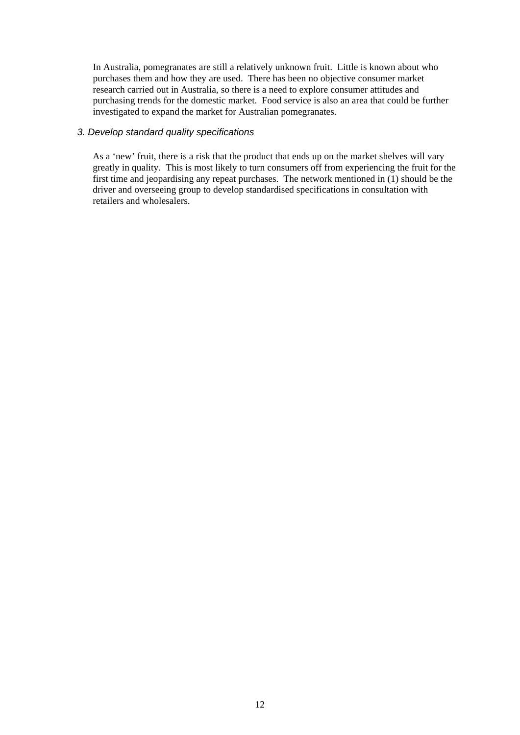In Australia, pomegranates are still a relatively unknown fruit. Little is known about who purchases them and how they are used. There has been no objective consumer market research carried out in Australia, so there is a need to explore consumer attitudes and purchasing trends for the domestic market. Food service is also an area that could be further investigated to expand the market for Australian pomegranates.

#### *3. Develop standard quality specifications*

As a 'new' fruit, there is a risk that the product that ends up on the market shelves will vary greatly in quality. This is most likely to turn consumers off from experiencing the fruit for the first time and jeopardising any repeat purchases. The network mentioned in (1) should be the driver and overseeing group to develop standardised specifications in consultation with retailers and wholesalers.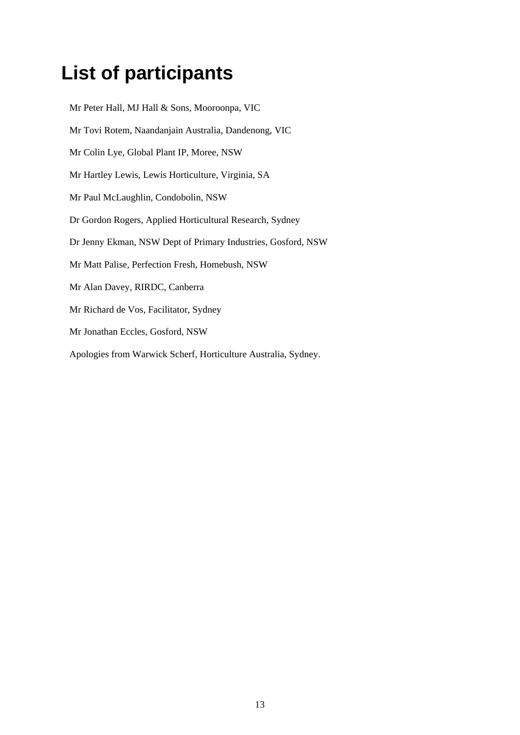### <span id="page-20-0"></span>**List of participants**

Mr Peter Hall, MJ Hall & Sons, Mooroonpa, VIC Mr Tovi Rotem, Naandanjain Australia, Dandenong, VIC Mr Colin Lye, Global Plant IP, Moree, NSW Mr Hartley Lewis, Lewis Horticulture, Virginia, SA Mr Paul McLaughlin, Condobolin, NSW Dr Gordon Rogers, Applied Horticultural Research, Sydney Dr Jenny Ekman, NSW Dept of Primary Industries, Gosford, NSW Mr Matt Palise, Perfection Fresh, Homebush, NSW Mr Alan Davey, RIRDC, Canberra Mr Richard de Vos, Facilitator, Sydney Mr Jonathan Eccles, Gosford, NSW Apologies from Warwick Scherf, Horticulture Australia, Sydney.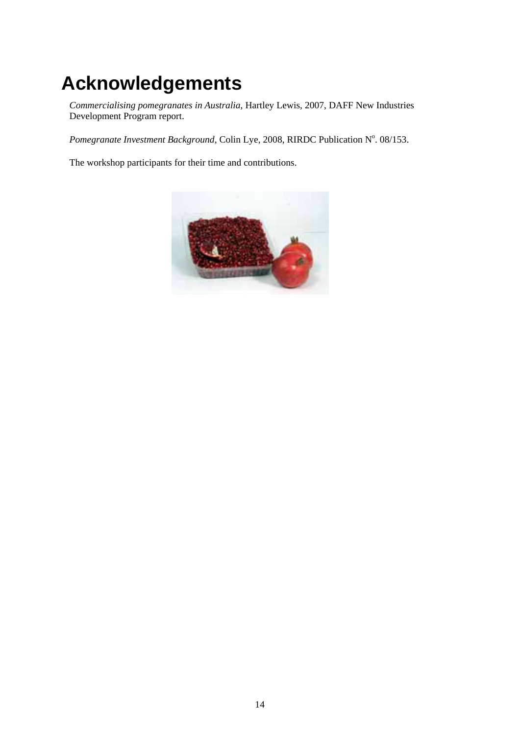## <span id="page-21-0"></span>**Acknowledgements**

*Commercialising pomegranates in Australia*, Hartley Lewis, 2007, DAFF New Industries Development Program report.

Pomegranate Investment Background, Colin Lye, 2008, RIRDC Publication N°. 08/153.

The workshop participants for their time and contributions.